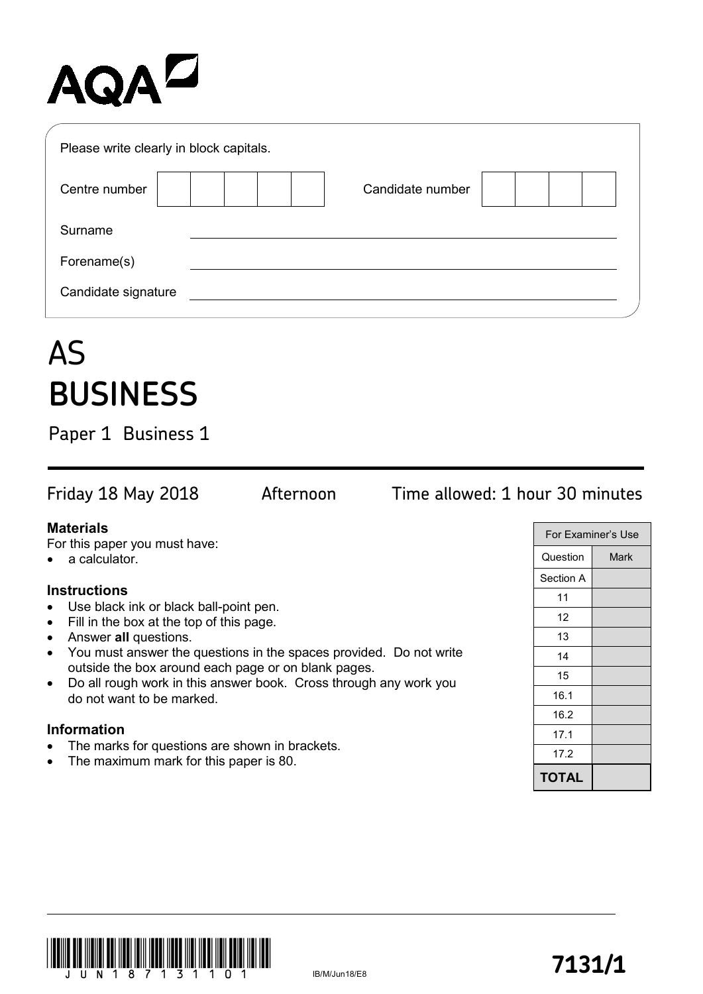# AQAD

|                     | Please write clearly in block capitals. |
|---------------------|-----------------------------------------|
| Centre number       | Candidate number                        |
| Surname             |                                         |
| Forename(s)         |                                         |
| Candidate signature |                                         |

# AS **BUSINESS**

Paper 1 Business 1

# Friday 18 May 2018 Afternoon Time allowed: 1 hour 30 minutes

#### **Materials**

For this paper you must have:

a calculator.

#### **Instructions**

- Use black ink or black ball-point pen.
- Fill in the box at the top of this page.
- Answer **all** questions.
- You must answer the questions in the spaces provided. Do not write outside the box around each page or on blank pages.
- Do all rough work in this answer book. Cross through any work you do not want to be marked.

#### **Information**

- The marks for questions are shown in brackets.
- The maximum mark for this paper is 80.

| For Examiner's Use |      |  |
|--------------------|------|--|
| Question           | Mark |  |
| Section A          |      |  |
| 11                 |      |  |
| 12                 |      |  |
| 13                 |      |  |
| 14                 |      |  |
| 15                 |      |  |
| 16.1               |      |  |
| 16.2               |      |  |
| 17.1               |      |  |
| 17.2               |      |  |
| TOTAL              |      |  |

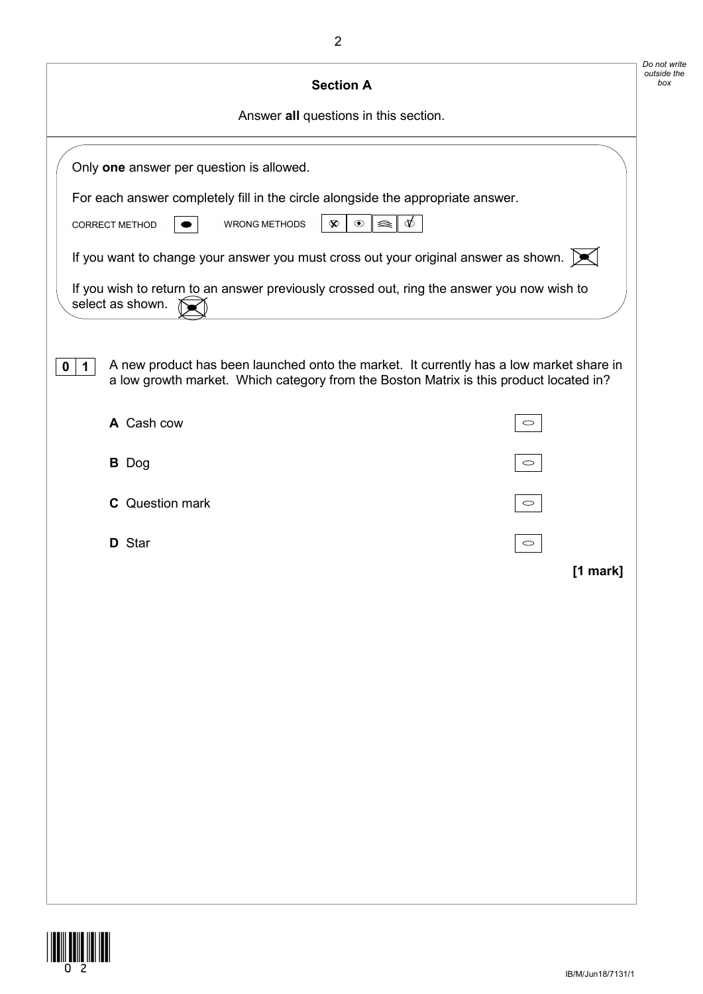| <b>Section A</b>                                                                                                                                                                                                                                                                                                                                                                                                                                    | Do not write<br>outside the |
|-----------------------------------------------------------------------------------------------------------------------------------------------------------------------------------------------------------------------------------------------------------------------------------------------------------------------------------------------------------------------------------------------------------------------------------------------------|-----------------------------|
| Answer all questions in this section.                                                                                                                                                                                                                                                                                                                                                                                                               |                             |
| Only one answer per question is allowed.<br>For each answer completely fill in the circle alongside the appropriate answer.<br>$\circledcirc$<br><b>WRONG METHODS</b><br>$\infty$<br>$\Rightarrow$<br>CORRECT METHOD<br>If you want to change your answer you must cross out your original answer as shown. $\blacktriangleright$<br>If you wish to return to an answer previously crossed out, ring the answer you now wish to<br>select as shown. |                             |
| A new product has been launched onto the market. It currently has a low market share in<br>$\mathbf 0$<br>$\mathbf 1$<br>a low growth market. Which category from the Boston Matrix is this product located in?                                                                                                                                                                                                                                     |                             |
| A Cash cow                                                                                                                                                                                                                                                                                                                                                                                                                                          | $\circlearrowright$         |
| <b>B</b> Dog                                                                                                                                                                                                                                                                                                                                                                                                                                        | $\circ$                     |
| <b>C</b> Question mark                                                                                                                                                                                                                                                                                                                                                                                                                              | $\circlearrowright$         |
| D Star                                                                                                                                                                                                                                                                                                                                                                                                                                              | $\circlearrowright$         |
|                                                                                                                                                                                                                                                                                                                                                                                                                                                     | [1 mark]                    |
|                                                                                                                                                                                                                                                                                                                                                                                                                                                     |                             |
|                                                                                                                                                                                                                                                                                                                                                                                                                                                     |                             |
|                                                                                                                                                                                                                                                                                                                                                                                                                                                     |                             |
|                                                                                                                                                                                                                                                                                                                                                                                                                                                     |                             |
|                                                                                                                                                                                                                                                                                                                                                                                                                                                     |                             |
|                                                                                                                                                                                                                                                                                                                                                                                                                                                     |                             |
|                                                                                                                                                                                                                                                                                                                                                                                                                                                     |                             |
|                                                                                                                                                                                                                                                                                                                                                                                                                                                     |                             |

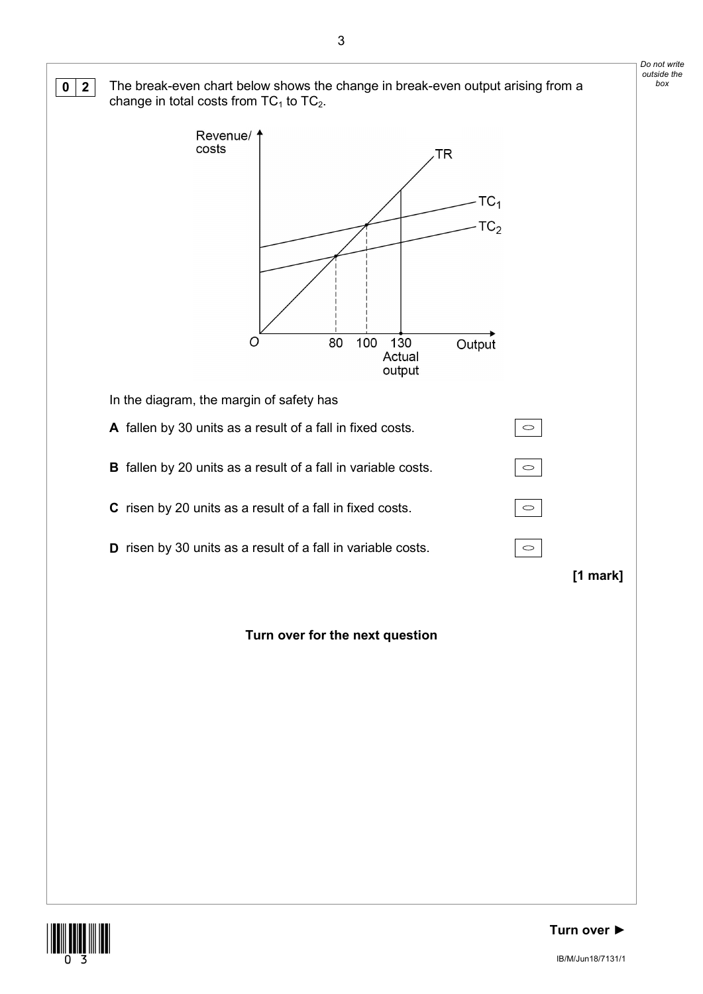

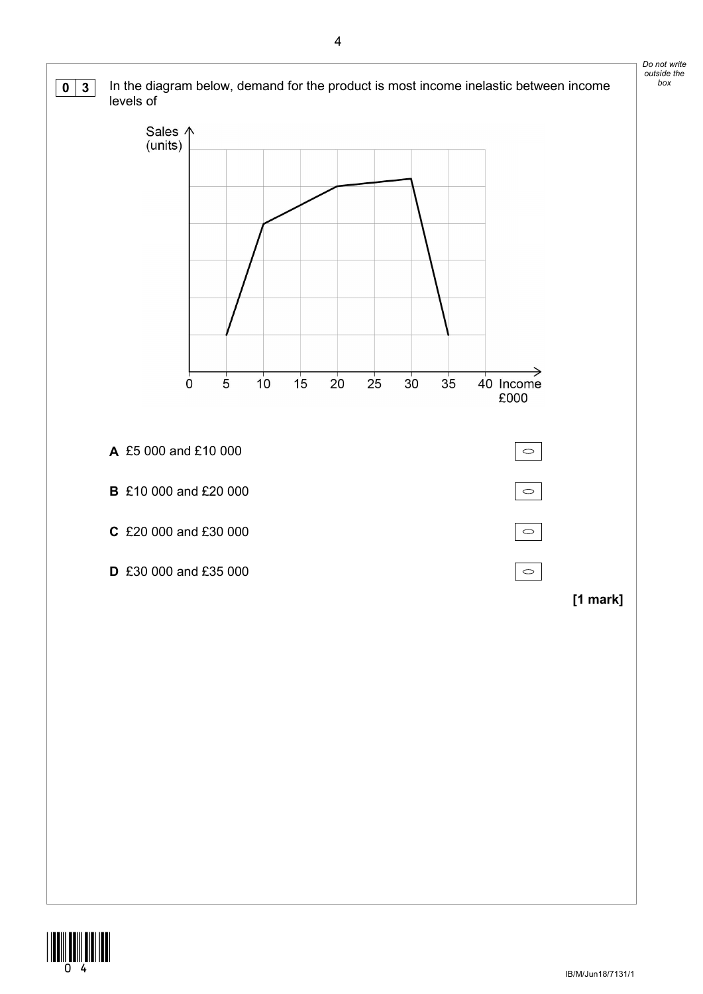



4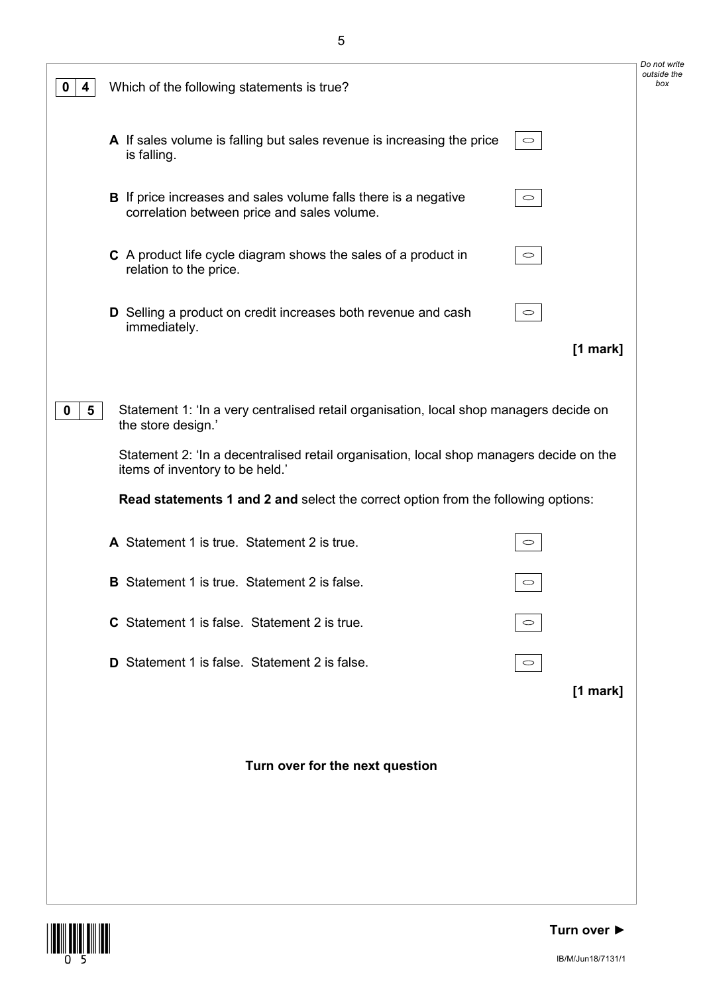|        |                                                                                                                            |                     |          | Do not write<br>outside the<br>box |
|--------|----------------------------------------------------------------------------------------------------------------------------|---------------------|----------|------------------------------------|
| 4      | Which of the following statements is true?                                                                                 |                     |          |                                    |
|        | A If sales volume is falling but sales revenue is increasing the price<br>is falling.                                      | $\circ$             |          |                                    |
|        | <b>B</b> If price increases and sales volume falls there is a negative<br>correlation between price and sales volume.      | $\circ$             |          |                                    |
|        | C A product life cycle diagram shows the sales of a product in<br>relation to the price.                                   | $\circ$             |          |                                    |
|        | <b>D</b> Selling a product on credit increases both revenue and cash<br>immediately.                                       | $\circlearrowright$ |          |                                    |
|        |                                                                                                                            |                     | [1 mark] |                                    |
| 5<br>0 | Statement 1: 'In a very centralised retail organisation, local shop managers decide on<br>the store design.'               |                     |          |                                    |
|        | Statement 2: 'In a decentralised retail organisation, local shop managers decide on the<br>items of inventory to be held.' |                     |          |                                    |
|        | Read statements 1 and 2 and select the correct option from the following options:                                          |                     |          |                                    |
|        | A Statement 1 is true. Statement 2 is true.                                                                                | $\circ$             |          |                                    |
|        | <b>B</b> Statement 1 is true. Statement 2 is false.                                                                        | $\circ$             |          |                                    |
|        | C Statement 1 is false. Statement 2 is true.                                                                               | $\circ$             |          |                                    |
|        | D Statement 1 is false. Statement 2 is false.                                                                              | $\circlearrowright$ |          |                                    |
|        |                                                                                                                            |                     | [1 mark] |                                    |
|        |                                                                                                                            |                     |          |                                    |
|        | Turn over for the next question                                                                                            |                     |          |                                    |
|        |                                                                                                                            |                     |          |                                    |
|        |                                                                                                                            |                     |          |                                    |
|        |                                                                                                                            |                     |          |                                    |

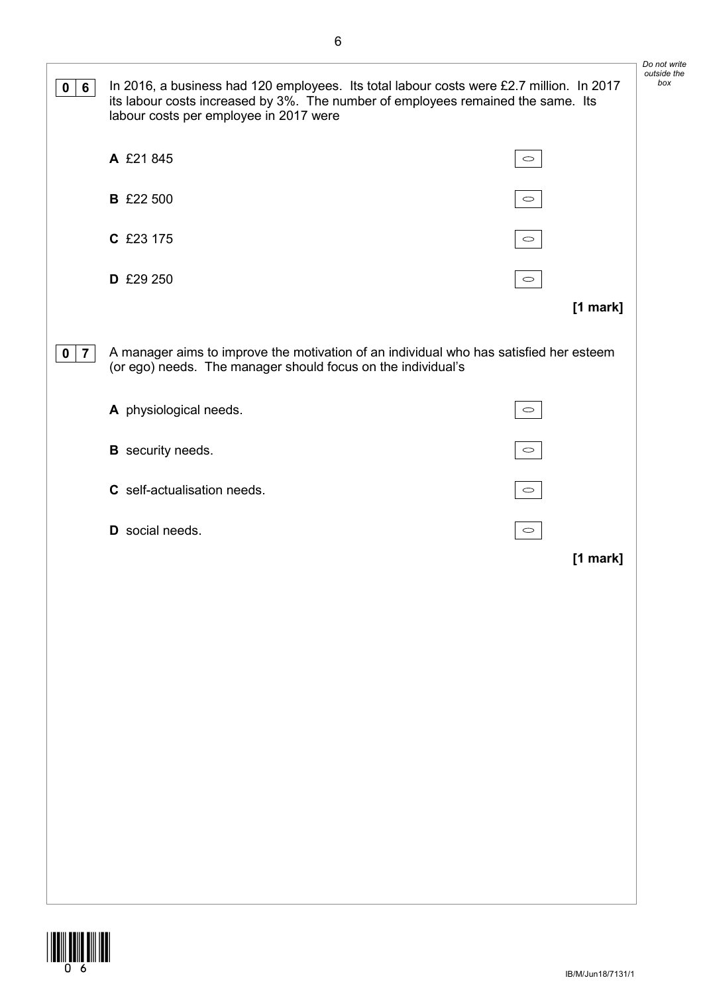| 0   6      | In 2016, a business had 120 employees. Its total labour costs were £2.7 million. In 2017<br>its labour costs increased by 3%. The number of employees remained the same. Its<br>labour costs per employee in 2017 were |                     |          | Do not write<br>outside the<br>box |
|------------|------------------------------------------------------------------------------------------------------------------------------------------------------------------------------------------------------------------------|---------------------|----------|------------------------------------|
|            | A £21 845                                                                                                                                                                                                              | $\circlearrowright$ |          |                                    |
|            | <b>B</b> £22 500                                                                                                                                                                                                       | $\circlearrowright$ |          |                                    |
|            | C £23 175                                                                                                                                                                                                              | $\circlearrowright$ |          |                                    |
|            | D £29 250                                                                                                                                                                                                              | $\circ$             |          |                                    |
|            |                                                                                                                                                                                                                        |                     | [1 mark] |                                    |
| $0 \mid 7$ | A manager aims to improve the motivation of an individual who has satisfied her esteem<br>(or ego) needs. The manager should focus on the individual's                                                                 |                     |          |                                    |
|            | A physiological needs.                                                                                                                                                                                                 | $\circ$             |          |                                    |
|            | <b>B</b> security needs.                                                                                                                                                                                               | $\circ$             |          |                                    |
|            | C self-actualisation needs.                                                                                                                                                                                            | $\circ$             |          |                                    |
|            | D social needs.                                                                                                                                                                                                        | $\bigcirc$          |          |                                    |
|            |                                                                                                                                                                                                                        |                     | [1 mark] |                                    |
|            |                                                                                                                                                                                                                        |                     |          |                                    |
|            |                                                                                                                                                                                                                        |                     |          |                                    |
|            |                                                                                                                                                                                                                        |                     |          |                                    |
|            |                                                                                                                                                                                                                        |                     |          |                                    |
|            |                                                                                                                                                                                                                        |                     |          |                                    |
|            |                                                                                                                                                                                                                        |                     |          |                                    |
|            |                                                                                                                                                                                                                        |                     |          |                                    |
|            |                                                                                                                                                                                                                        |                     |          |                                    |

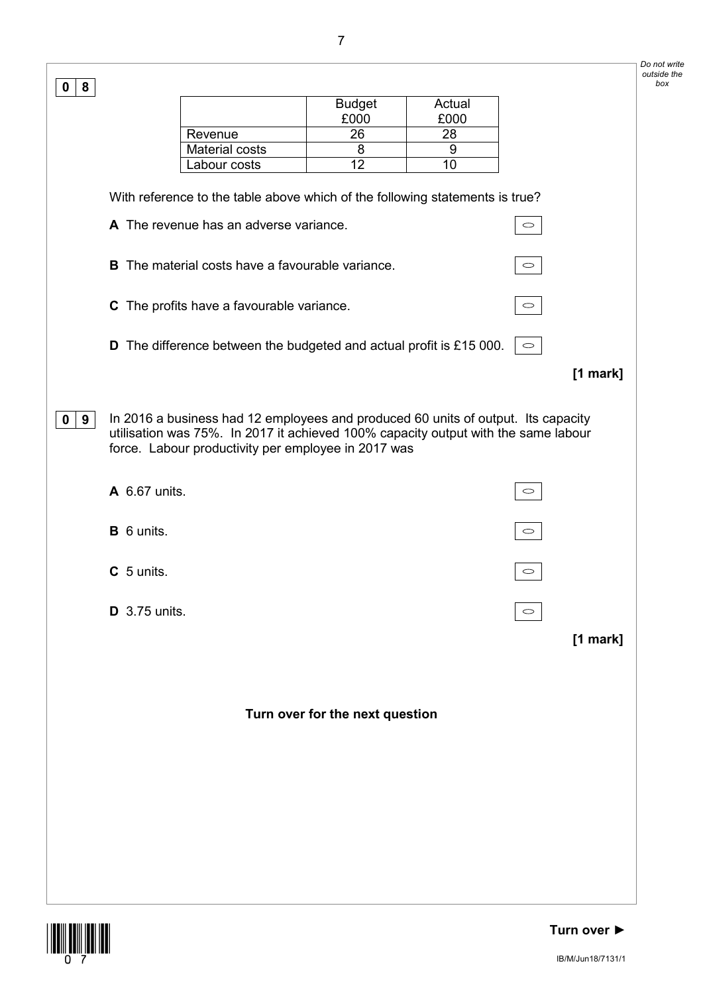| Do not write |
|--------------|
| outside the  |
| hov          |

| 8<br>0 |                      |                                                                                                                                                                                                                                |                                 |                |                     | outsige<br>box |
|--------|----------------------|--------------------------------------------------------------------------------------------------------------------------------------------------------------------------------------------------------------------------------|---------------------------------|----------------|---------------------|----------------|
|        |                      |                                                                                                                                                                                                                                | <b>Budget</b><br>£000           | Actual<br>£000 |                     |                |
|        |                      | Revenue                                                                                                                                                                                                                        | 26                              | 28             |                     |                |
|        |                      | Material costs<br>Labour costs                                                                                                                                                                                                 | 8<br>12                         | 9<br>10        |                     |                |
|        |                      |                                                                                                                                                                                                                                |                                 |                |                     |                |
|        |                      | With reference to the table above which of the following statements is true?                                                                                                                                                   |                                 |                |                     |                |
|        |                      | A The revenue has an adverse variance.                                                                                                                                                                                         |                                 |                | $\circ$             |                |
|        |                      | <b>B</b> The material costs have a favourable variance.                                                                                                                                                                        |                                 |                | $\circ$             |                |
|        |                      | C The profits have a favourable variance.                                                                                                                                                                                      |                                 |                | $\circ$             |                |
|        |                      | <b>D</b> The difference between the budgeted and actual profit is £15 000.                                                                                                                                                     |                                 |                | $\circ$             |                |
|        |                      |                                                                                                                                                                                                                                |                                 |                |                     | [1 mark]       |
| 0   9  |                      | In 2016 a business had 12 employees and produced 60 units of output. Its capacity<br>utilisation was 75%. In 2017 it achieved 100% capacity output with the same labour<br>force. Labour productivity per employee in 2017 was |                                 |                |                     |                |
|        | A 6.67 units.        |                                                                                                                                                                                                                                |                                 |                | $\circ$             |                |
|        | <b>B</b> 6 units.    |                                                                                                                                                                                                                                |                                 |                | $\circlearrowright$ |                |
|        | C 5 units.           |                                                                                                                                                                                                                                |                                 |                | $\circ$             |                |
|        | <b>D</b> 3.75 units. |                                                                                                                                                                                                                                |                                 |                | $\circ$             |                |
|        |                      |                                                                                                                                                                                                                                |                                 |                |                     | [1 mark]       |
|        |                      |                                                                                                                                                                                                                                |                                 |                |                     |                |
|        |                      |                                                                                                                                                                                                                                | Turn over for the next question |                |                     |                |
|        |                      |                                                                                                                                                                                                                                |                                 |                |                     |                |
|        |                      |                                                                                                                                                                                                                                |                                 |                |                     |                |
|        |                      |                                                                                                                                                                                                                                |                                 |                |                     |                |
|        |                      |                                                                                                                                                                                                                                |                                 |                |                     |                |
|        |                      |                                                                                                                                                                                                                                |                                 |                |                     |                |
|        |                      |                                                                                                                                                                                                                                |                                 |                |                     |                |



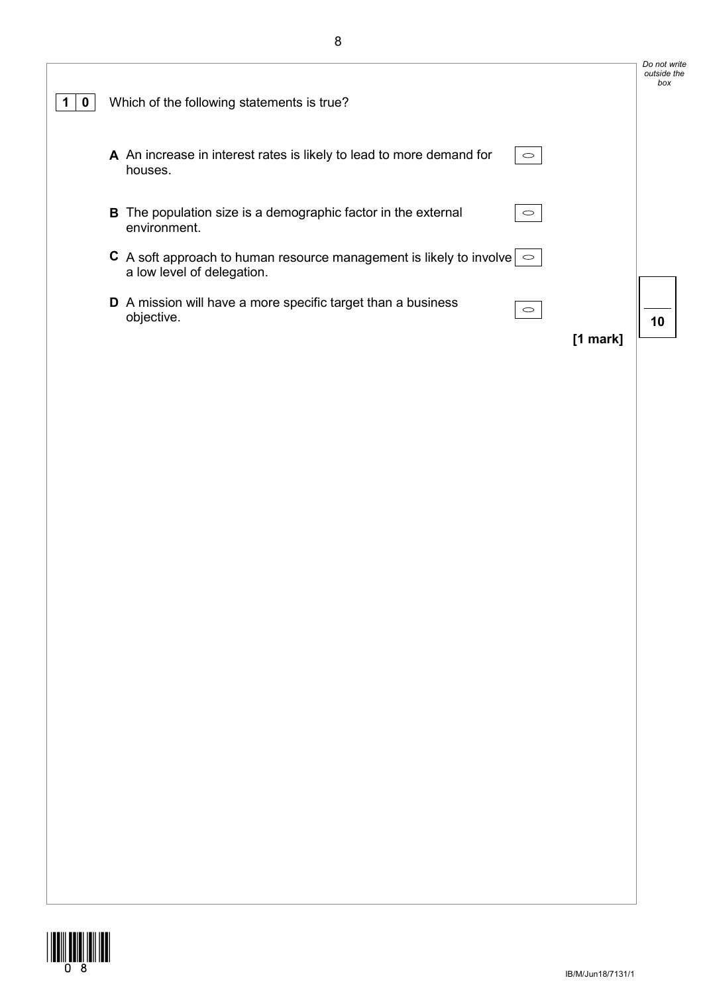|                   |                                                                                                          | Do not write<br>outside the<br>box |
|-------------------|----------------------------------------------------------------------------------------------------------|------------------------------------|
| $\mathbf 0$<br>1. | Which of the following statements is true?                                                               |                                    |
|                   | A An increase in interest rates is likely to lead to more demand for<br>$\circlearrowright$<br>houses.   |                                    |
|                   | B The population size is a demographic factor in the external<br>$\circlearrowright$<br>environment.     |                                    |
|                   | C A soft approach to human resource management is likely to involve $\sim$<br>a low level of delegation. |                                    |
|                   | D A mission will have a more specific target than a business<br>$\circlearrowright$<br>objective.        | 10                                 |
|                   | [1 mark]                                                                                                 |                                    |
|                   |                                                                                                          |                                    |
|                   |                                                                                                          |                                    |
|                   |                                                                                                          |                                    |
|                   |                                                                                                          |                                    |
|                   |                                                                                                          |                                    |
|                   |                                                                                                          |                                    |
|                   |                                                                                                          |                                    |
|                   |                                                                                                          |                                    |
|                   |                                                                                                          |                                    |
|                   |                                                                                                          |                                    |
|                   |                                                                                                          |                                    |
|                   |                                                                                                          |                                    |
|                   |                                                                                                          |                                    |
|                   |                                                                                                          |                                    |

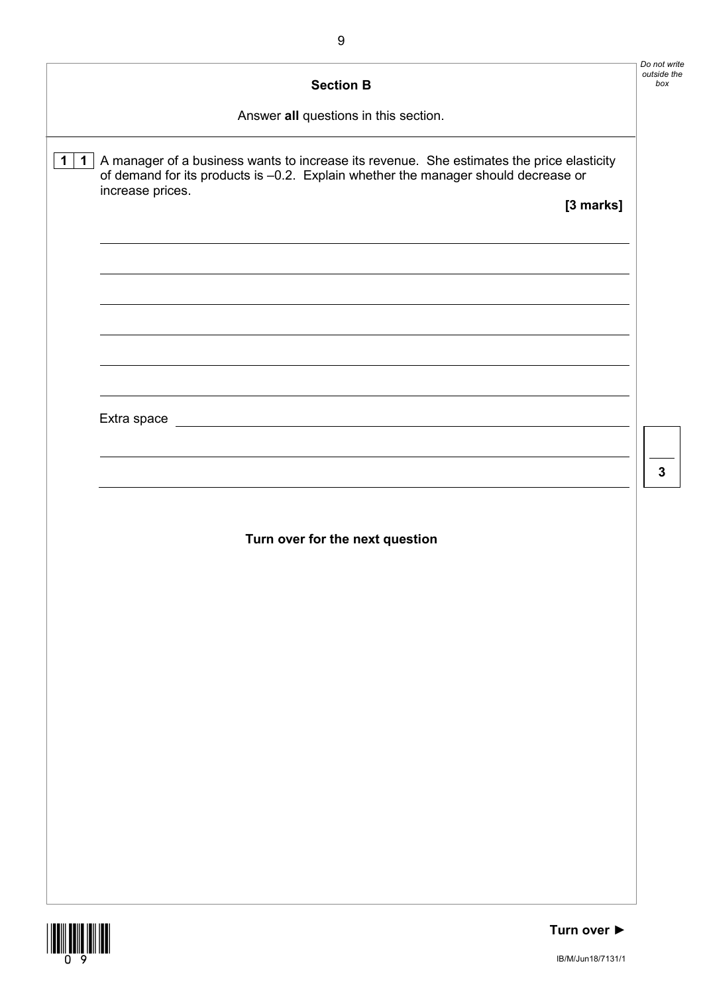| <b>Section B</b>                                                                                                                                                                                                                                    | Do not write<br>outside the<br>box |
|-----------------------------------------------------------------------------------------------------------------------------------------------------------------------------------------------------------------------------------------------------|------------------------------------|
| Answer all questions in this section.                                                                                                                                                                                                               |                                    |
| A manager of a business wants to increase its revenue. She estimates the price elasticity<br>1 1 <br>of demand for its products is -0.2. Explain whether the manager should decrease or                                                             |                                    |
| increase prices.<br>[3 marks]                                                                                                                                                                                                                       |                                    |
|                                                                                                                                                                                                                                                     |                                    |
|                                                                                                                                                                                                                                                     |                                    |
|                                                                                                                                                                                                                                                     |                                    |
| Extra space<br><u>and the state of the state of the state of the state of the state of the state of the state of the state of the state of the state of the state of the state of the state of the state of the state of the state of the state</u> |                                    |
|                                                                                                                                                                                                                                                     | $\mathbf 3$                        |
|                                                                                                                                                                                                                                                     |                                    |
| Turn over for the next question                                                                                                                                                                                                                     |                                    |
|                                                                                                                                                                                                                                                     |                                    |
|                                                                                                                                                                                                                                                     |                                    |
|                                                                                                                                                                                                                                                     |                                    |
|                                                                                                                                                                                                                                                     |                                    |
|                                                                                                                                                                                                                                                     |                                    |
|                                                                                                                                                                                                                                                     |                                    |
|                                                                                                                                                                                                                                                     |                                    |
| <b>THE REAL PROPERTY</b><br>Turn over $\blacktriangleright$                                                                                                                                                                                         |                                    |

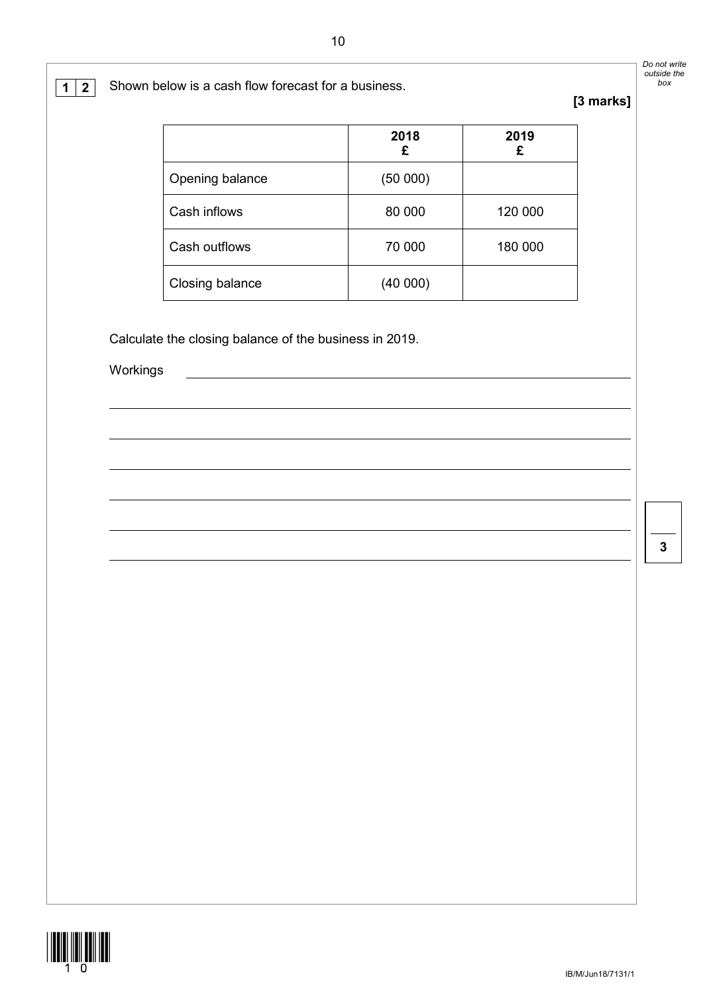*Do not write outside the* 

### **1 2** Shown below is a cash flow forecast for a business.

## **[3 marks]**

|                 | 2018<br>£ | 2019<br>£ |
|-----------------|-----------|-----------|
| Opening balance | (50000)   |           |
| Cash inflows    | 80 000    | 120 000   |
| Cash outflows   | 70 000    | 180 000   |
| Closing balance | (40000)   |           |

Calculate the closing balance of the business in 2019.

Workings

**3** 

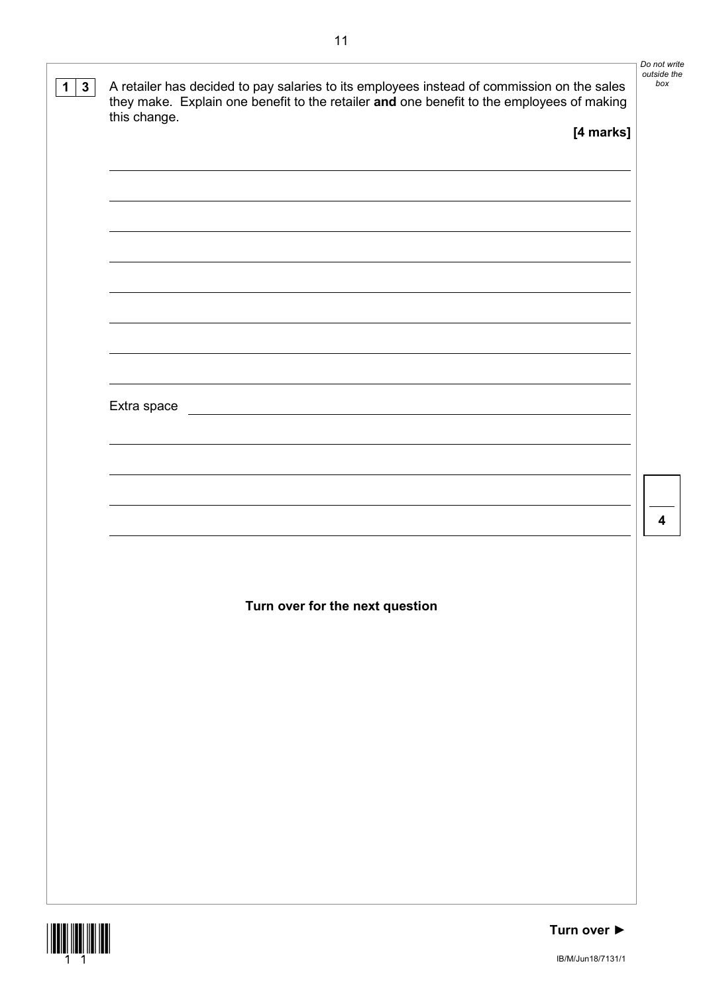| 3 <sup>1</sup><br>$\mathbf 1$ | A retailer has decided to pay salaries to its employees instead of commission on the sales<br>they make. Explain one benefit to the retailer and one benefit to the employees of making<br>this change.<br>[4 marks] | Do not write<br>outside the<br>box |
|-------------------------------|----------------------------------------------------------------------------------------------------------------------------------------------------------------------------------------------------------------------|------------------------------------|
|                               | Extra space                                                                                                                                                                                                          |                                    |
|                               |                                                                                                                                                                                                                      | 4                                  |
|                               | Turn over for the next question                                                                                                                                                                                      |                                    |
| <b>ITTIEL ITTI IIII ITTI</b>  | Turn over $\blacktriangleright$                                                                                                                                                                                      |                                    |

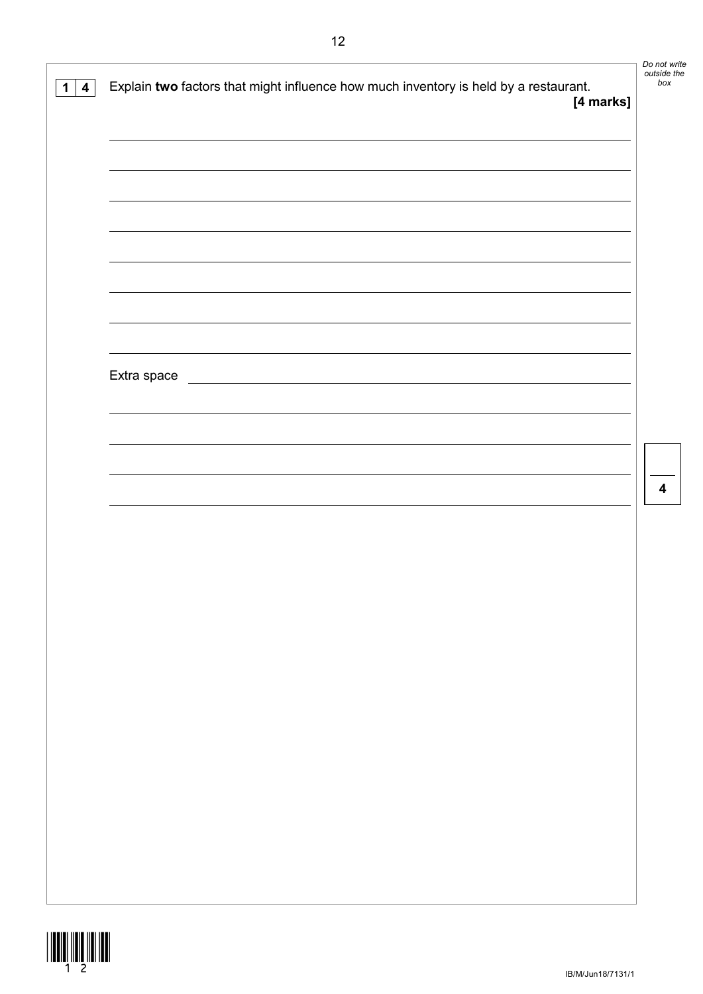*Do not write*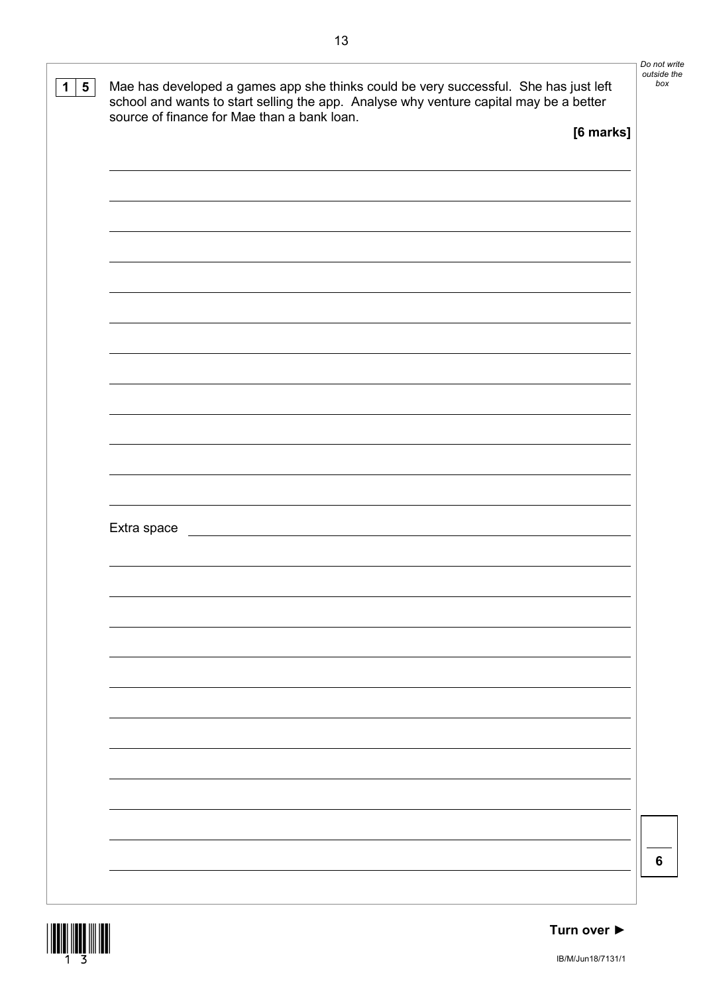| school and wants to start selling the app. Analyse why venture capital may be a better<br>source of finance for Mae than a bank loan.<br>[6 marks] |   |
|----------------------------------------------------------------------------------------------------------------------------------------------------|---|
|                                                                                                                                                    |   |
|                                                                                                                                                    |   |
|                                                                                                                                                    |   |
|                                                                                                                                                    |   |
|                                                                                                                                                    |   |
|                                                                                                                                                    |   |
|                                                                                                                                                    |   |
|                                                                                                                                                    |   |
|                                                                                                                                                    |   |
|                                                                                                                                                    |   |
|                                                                                                                                                    |   |
| Extra space                                                                                                                                        |   |
|                                                                                                                                                    |   |
|                                                                                                                                                    |   |
|                                                                                                                                                    |   |
|                                                                                                                                                    |   |
|                                                                                                                                                    |   |
|                                                                                                                                                    |   |
|                                                                                                                                                    |   |
|                                                                                                                                                    |   |
|                                                                                                                                                    |   |
|                                                                                                                                                    | 6 |

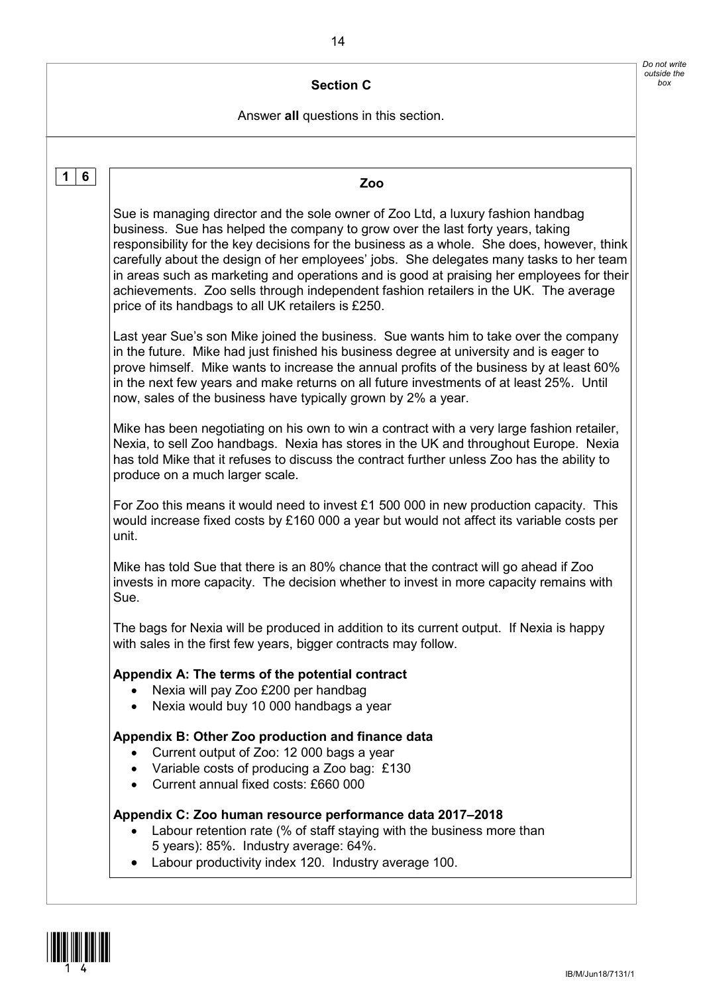| <b>Section C</b>                                                                                                                                                                                                                                                                                                                                                                                                                                                                                                                                                                                       |
|--------------------------------------------------------------------------------------------------------------------------------------------------------------------------------------------------------------------------------------------------------------------------------------------------------------------------------------------------------------------------------------------------------------------------------------------------------------------------------------------------------------------------------------------------------------------------------------------------------|
| Answer all questions in this section.                                                                                                                                                                                                                                                                                                                                                                                                                                                                                                                                                                  |
|                                                                                                                                                                                                                                                                                                                                                                                                                                                                                                                                                                                                        |
| Zoo                                                                                                                                                                                                                                                                                                                                                                                                                                                                                                                                                                                                    |
| Sue is managing director and the sole owner of Zoo Ltd, a luxury fashion handbag<br>business. Sue has helped the company to grow over the last forty years, taking<br>responsibility for the key decisions for the business as a whole. She does, however, think<br>carefully about the design of her employees' jobs. She delegates many tasks to her team<br>in areas such as marketing and operations and is good at praising her employees for their<br>achievements. Zoo sells through independent fashion retailers in the UK. The average<br>price of its handbags to all UK retailers is £250. |
| Last year Sue's son Mike joined the business. Sue wants him to take over the company<br>in the future. Mike had just finished his business degree at university and is eager to<br>prove himself. Mike wants to increase the annual profits of the business by at least 60%<br>in the next few years and make returns on all future investments of at least 25%. Until<br>now, sales of the business have typically grown by 2% a year.                                                                                                                                                                |
| Mike has been negotiating on his own to win a contract with a very large fashion retailer,<br>Nexia, to sell Zoo handbags. Nexia has stores in the UK and throughout Europe. Nexia<br>has told Mike that it refuses to discuss the contract further unless Zoo has the ability to<br>produce on a much larger scale.                                                                                                                                                                                                                                                                                   |
| For Zoo this means it would need to invest $£1$ 500 000 in new production capacity. This<br>would increase fixed costs by £160 000 a year but would not affect its variable costs per<br>unit.                                                                                                                                                                                                                                                                                                                                                                                                         |
| Mike has told Sue that there is an 80% chance that the contract will go ahead if Zoo<br>invests in more capacity. The decision whether to invest in more capacity remains with<br>Sue.                                                                                                                                                                                                                                                                                                                                                                                                                 |
| The bags for Nexia will be produced in addition to its current output. If Nexia is happy<br>with sales in the first few years, bigger contracts may follow.                                                                                                                                                                                                                                                                                                                                                                                                                                            |
| Appendix A: The terms of the potential contract<br>Nexia will pay Zoo £200 per handbag<br>$\bullet$<br>Nexia would buy 10 000 handbags a year<br>$\bullet$                                                                                                                                                                                                                                                                                                                                                                                                                                             |
| Appendix B: Other Zoo production and finance data<br>Current output of Zoo: 12 000 bags a year<br>$\bullet$                                                                                                                                                                                                                                                                                                                                                                                                                                                                                            |
| Variable costs of producing a Zoo bag: £130<br>$\bullet$<br>Current annual fixed costs: £660 000<br>$\bullet$                                                                                                                                                                                                                                                                                                                                                                                                                                                                                          |
| Appendix C: Zoo human resource performance data 2017-2018<br>Labour retention rate (% of staff staying with the business more than<br>5 years): 85%. Industry average: 64%.                                                                                                                                                                                                                                                                                                                                                                                                                            |
| Labour productivity index 120. Industry average 100.                                                                                                                                                                                                                                                                                                                                                                                                                                                                                                                                                   |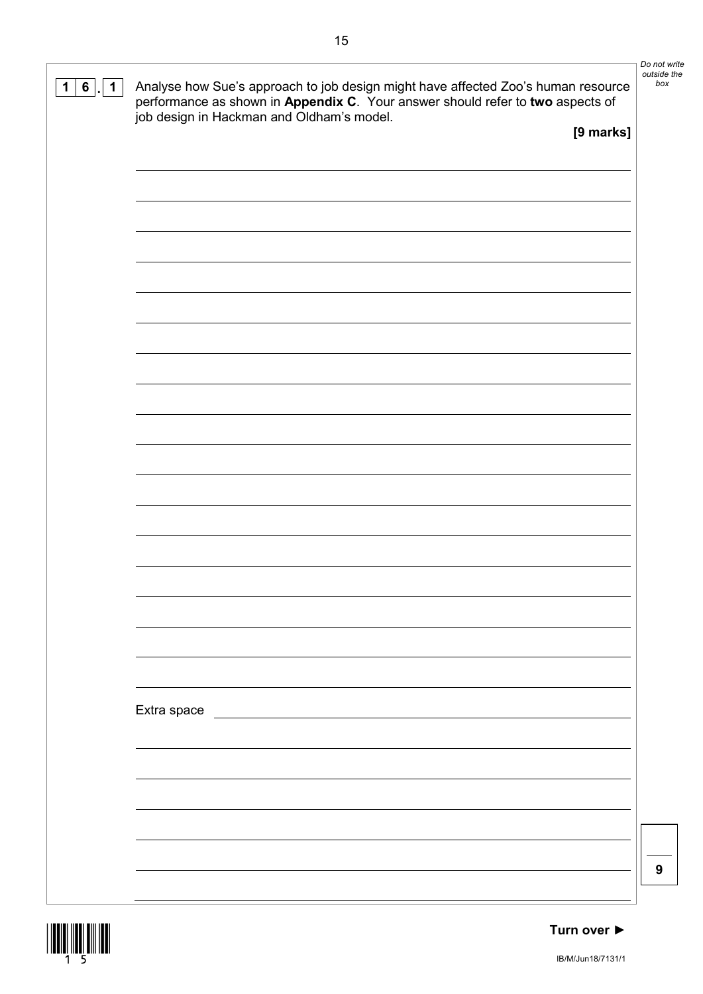| 6<br>$\mathbf 1$ | Analyse how Sue's approach to job design might have affected Zoo's human resource<br>performance as shown in Appendix C. Your answer should refer to two aspects of<br>job design in Hackman and Oldham's model. | outside the<br>box |
|------------------|------------------------------------------------------------------------------------------------------------------------------------------------------------------------------------------------------------------|--------------------|
|                  | [9 marks]                                                                                                                                                                                                        |                    |
|                  |                                                                                                                                                                                                                  |                    |
|                  |                                                                                                                                                                                                                  |                    |
|                  |                                                                                                                                                                                                                  |                    |
|                  |                                                                                                                                                                                                                  |                    |
|                  |                                                                                                                                                                                                                  |                    |
|                  |                                                                                                                                                                                                                  |                    |
|                  |                                                                                                                                                                                                                  |                    |
|                  |                                                                                                                                                                                                                  |                    |
|                  |                                                                                                                                                                                                                  |                    |
|                  |                                                                                                                                                                                                                  |                    |
|                  |                                                                                                                                                                                                                  |                    |
|                  |                                                                                                                                                                                                                  |                    |
|                  |                                                                                                                                                                                                                  |                    |
|                  |                                                                                                                                                                                                                  |                    |
|                  |                                                                                                                                                                                                                  |                    |
|                  |                                                                                                                                                                                                                  |                    |
|                  |                                                                                                                                                                                                                  |                    |
|                  |                                                                                                                                                                                                                  |                    |
|                  |                                                                                                                                                                                                                  |                    |
|                  |                                                                                                                                                                                                                  |                    |
|                  |                                                                                                                                                                                                                  |                    |
|                  |                                                                                                                                                                                                                  |                    |
|                  |                                                                                                                                                                                                                  |                    |
|                  | Extra space                                                                                                                                                                                                      |                    |
|                  |                                                                                                                                                                                                                  |                    |
|                  |                                                                                                                                                                                                                  |                    |
|                  |                                                                                                                                                                                                                  |                    |
|                  |                                                                                                                                                                                                                  |                    |
|                  |                                                                                                                                                                                                                  |                    |
|                  |                                                                                                                                                                                                                  |                    |
|                  |                                                                                                                                                                                                                  | 9                  |

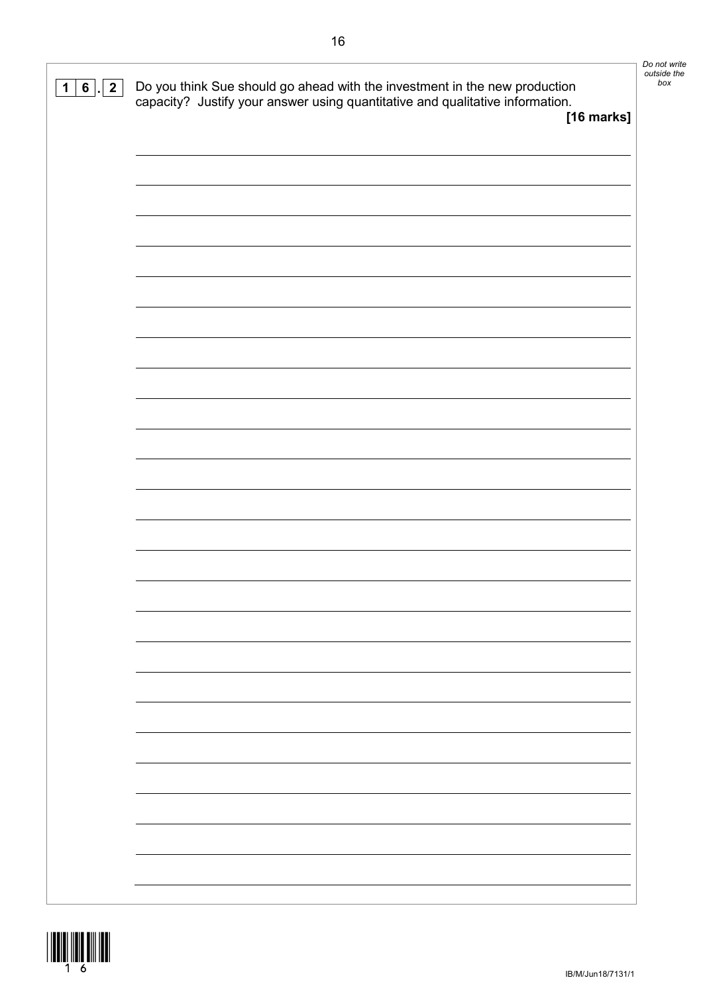*Do not write outside the*  **1** | 6 | | 2 | Do you think Sue should go ahead with the investment in the new production  $\frac{b}{2}$ capacity? Justify your answer using quantitative and qualitative information. **[16 marks]**

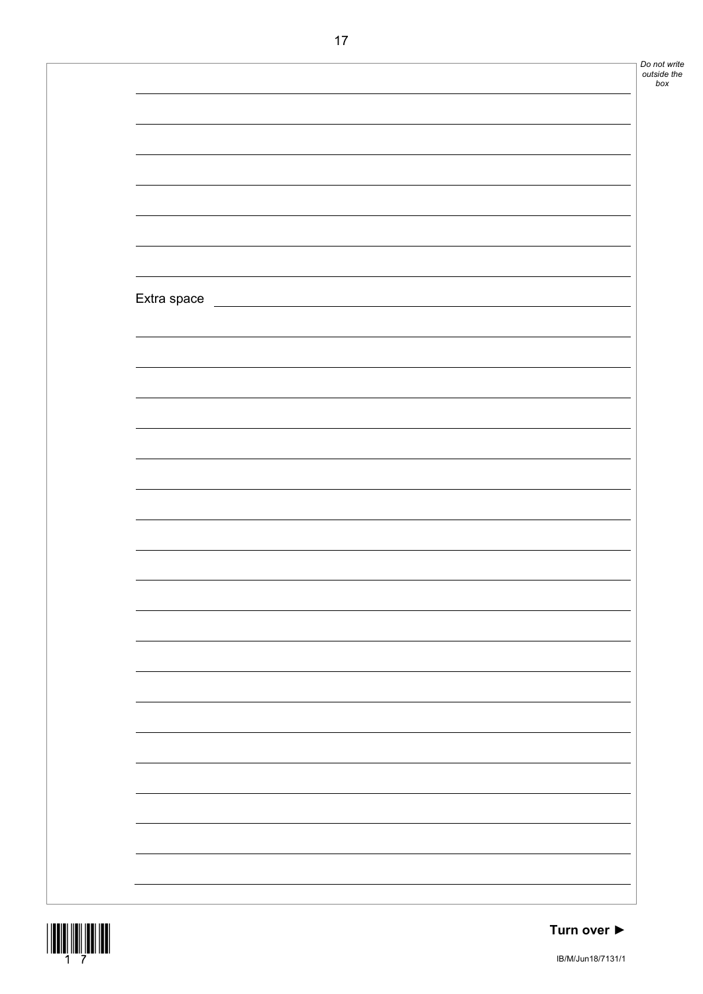*Do not write outside the box*

| Extra space |  |  |
|-------------|--|--|
|             |  |  |
|             |  |  |
|             |  |  |
|             |  |  |
|             |  |  |
|             |  |  |
|             |  |  |
|             |  |  |
|             |  |  |
|             |  |  |
|             |  |  |
|             |  |  |
|             |  |  |
|             |  |  |
|             |  |  |
|             |  |  |
|             |  |  |
|             |  |  |
|             |  |  |
|             |  |  |
|             |  |  |
|             |  |  |
|             |  |  |
|             |  |  |
|             |  |  |
|             |  |  |
|             |  |  |
|             |  |  |
|             |  |  |
|             |  |  |
|             |  |  |
|             |  |  |
|             |  |  |
|             |  |  |
|             |  |  |
|             |  |  |
|             |  |  |



**Turn over ►**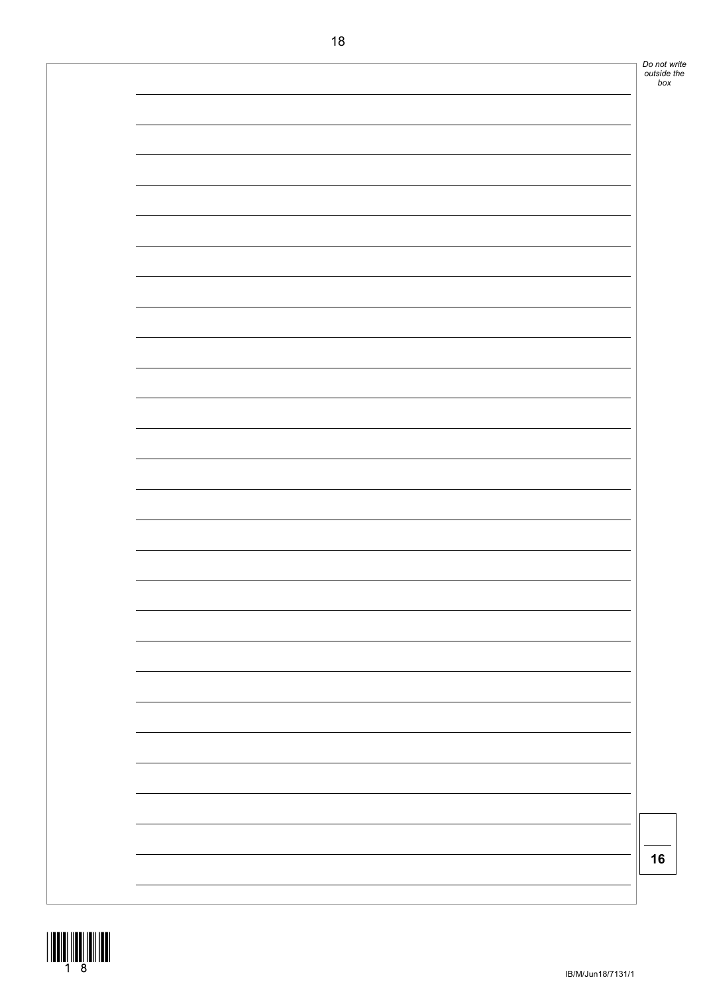

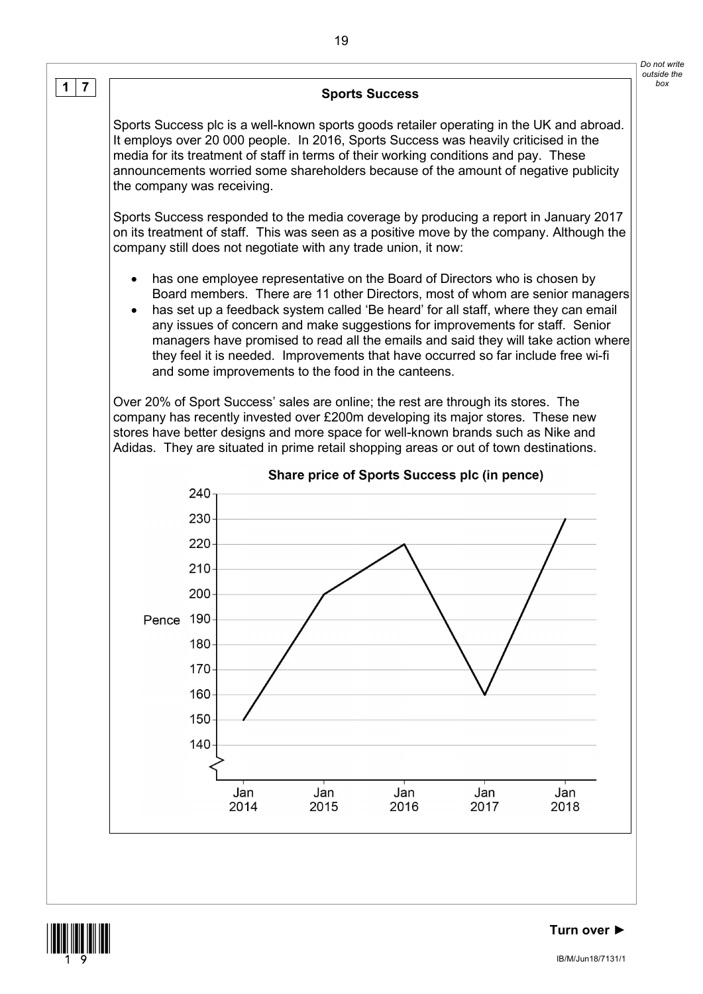# *box* **<sup>1</sup> <sup>7</sup> Sports Success**

Sports Success plc is a well-known sports goods retailer operating in the UK and abroad. It employs over 20 000 people. In 2016, Sports Success was heavily criticised in the media for its treatment of staff in terms of their working conditions and pay. These announcements worried some shareholders because of the amount of negative publicity the company was receiving.

Sports Success responded to the media coverage by producing a report in January 2017 on its treatment of staff. This was seen as a positive move by the company. Although the company still does not negotiate with any trade union, it now:

- has one employee representative on the Board of Directors who is chosen by Board members. There are 11 other Directors, most of whom are senior managers
- has set up a feedback system called 'Be heard' for all staff, where they can email any issues of concern and make suggestions for improvements for staff. Senior managers have promised to read all the emails and said they will take action where they feel it is needed. Improvements that have occurred so far include free wi-fi and some improvements to the food in the canteens.

Over 20% of Sport Success' sales are online; the rest are through its stores. The company has recently invested over £200m developing its major stores. These new stores have better designs and more space for well-known brands such as Nike and Adidas. They are situated in prime retail shopping areas or out of town destinations.



Share price of Sports Success plc (in pence)



**Turn over ►**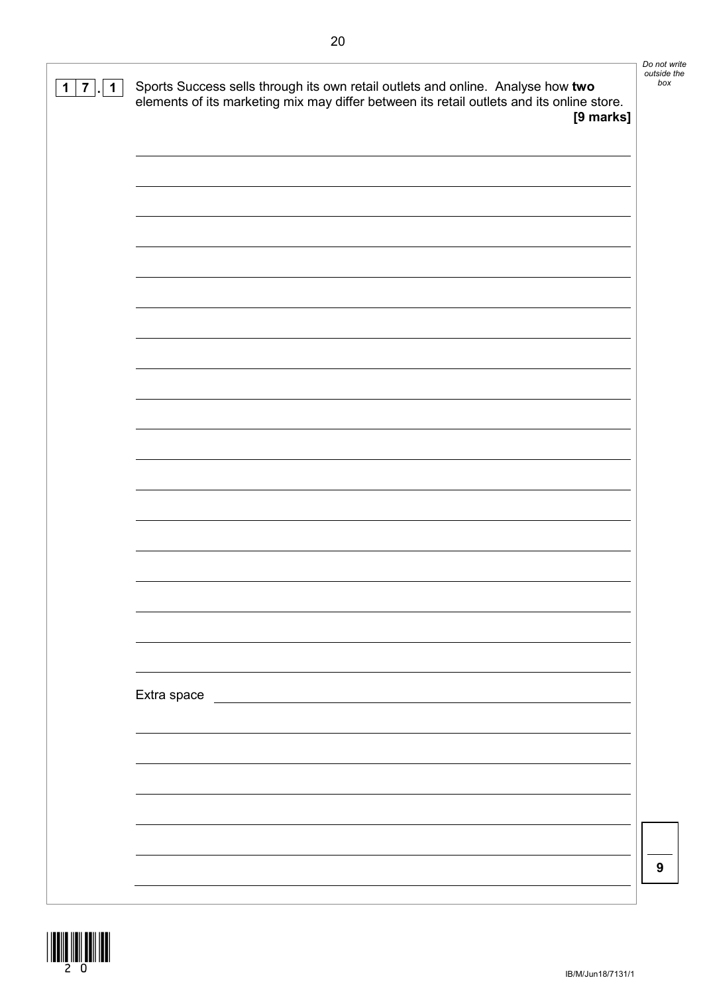| $\overline{7}$<br>1<br>1 | Sports Success sells through its own retail outlets and online. Analyse how two elements of its marketing mix may differ between its retail outlets and its online store.<br>[9 marks] | Do not write<br>outside the<br>box |
|--------------------------|----------------------------------------------------------------------------------------------------------------------------------------------------------------------------------------|------------------------------------|
|                          |                                                                                                                                                                                        |                                    |
|                          |                                                                                                                                                                                        |                                    |
|                          |                                                                                                                                                                                        |                                    |
|                          |                                                                                                                                                                                        |                                    |
|                          |                                                                                                                                                                                        |                                    |
|                          |                                                                                                                                                                                        |                                    |
|                          |                                                                                                                                                                                        |                                    |
|                          | Extra space                                                                                                                                                                            |                                    |
|                          |                                                                                                                                                                                        |                                    |
|                          |                                                                                                                                                                                        | 9                                  |

\*20\*

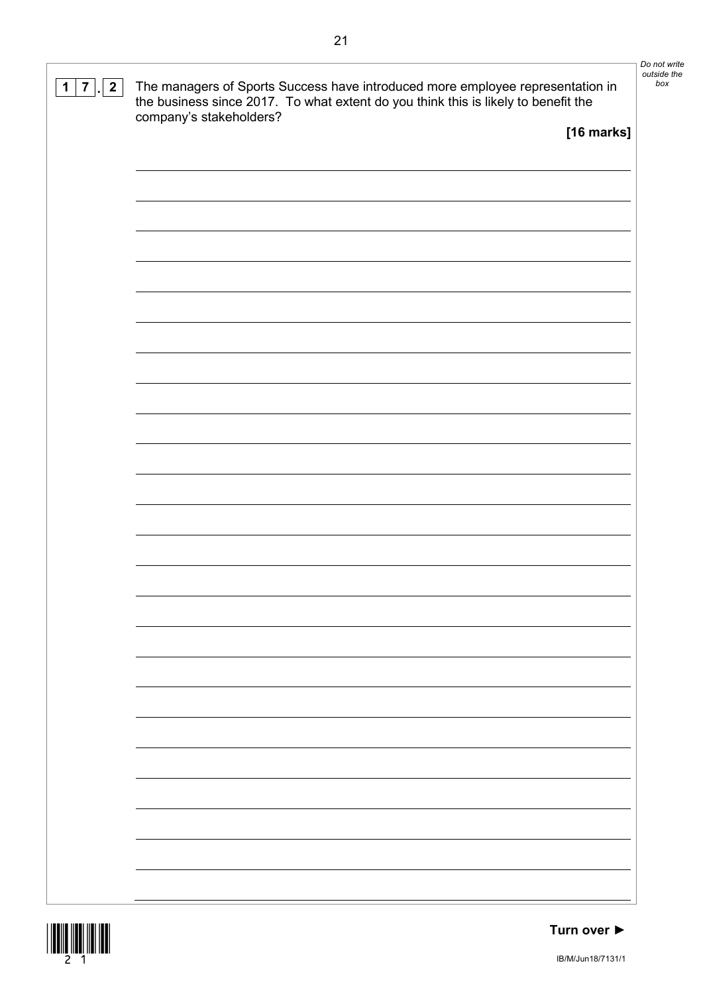|                                            |                                                                                                                                                                                                 | Do not write<br>outside the |
|--------------------------------------------|-------------------------------------------------------------------------------------------------------------------------------------------------------------------------------------------------|-----------------------------|
| $\mathbf{2}$<br>$7 \vert$ .<br>$\mathbf 1$ | The managers of Sports Success have introduced more employee representation in<br>the business since 2017. To what extent do you think this is likely to benefit the<br>company's stakeholders? | box                         |
|                                            | [16 marks]                                                                                                                                                                                      |                             |
|                                            |                                                                                                                                                                                                 |                             |
|                                            |                                                                                                                                                                                                 |                             |
|                                            |                                                                                                                                                                                                 |                             |
|                                            |                                                                                                                                                                                                 |                             |
|                                            |                                                                                                                                                                                                 |                             |
|                                            |                                                                                                                                                                                                 |                             |
|                                            |                                                                                                                                                                                                 |                             |
|                                            |                                                                                                                                                                                                 |                             |
|                                            |                                                                                                                                                                                                 |                             |
|                                            |                                                                                                                                                                                                 |                             |
|                                            |                                                                                                                                                                                                 |                             |
|                                            |                                                                                                                                                                                                 |                             |
|                                            |                                                                                                                                                                                                 |                             |
|                                            |                                                                                                                                                                                                 |                             |
|                                            |                                                                                                                                                                                                 |                             |
|                                            |                                                                                                                                                                                                 |                             |
|                                            |                                                                                                                                                                                                 |                             |
|                                            |                                                                                                                                                                                                 |                             |
|                                            |                                                                                                                                                                                                 |                             |
|                                            |                                                                                                                                                                                                 |                             |
|                                            |                                                                                                                                                                                                 |                             |
|                                            |                                                                                                                                                                                                 |                             |
|                                            |                                                                                                                                                                                                 |                             |
|                                            |                                                                                                                                                                                                 |                             |
|                                            |                                                                                                                                                                                                 |                             |
|                                            |                                                                                                                                                                                                 |                             |

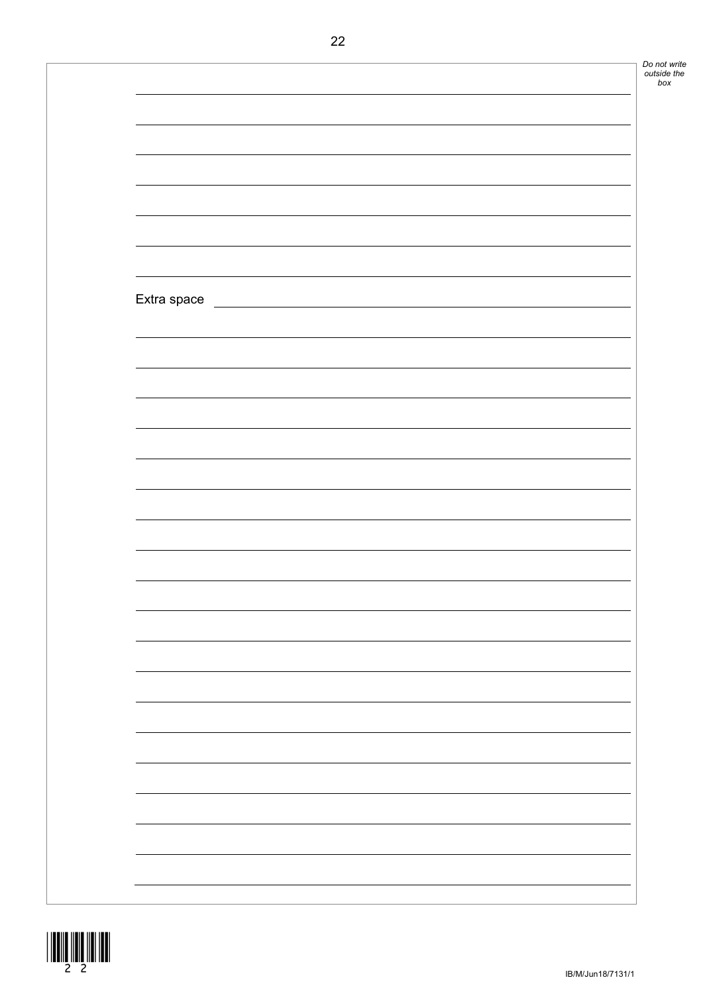*Do not write outside the box*

| Extra space |  |  |
|-------------|--|--|
|             |  |  |
|             |  |  |
|             |  |  |
|             |  |  |
|             |  |  |
|             |  |  |
|             |  |  |
|             |  |  |
|             |  |  |
|             |  |  |
|             |  |  |
|             |  |  |
|             |  |  |
|             |  |  |
|             |  |  |
|             |  |  |
|             |  |  |
|             |  |  |
|             |  |  |
|             |  |  |
|             |  |  |
|             |  |  |
|             |  |  |
|             |  |  |
|             |  |  |
|             |  |  |

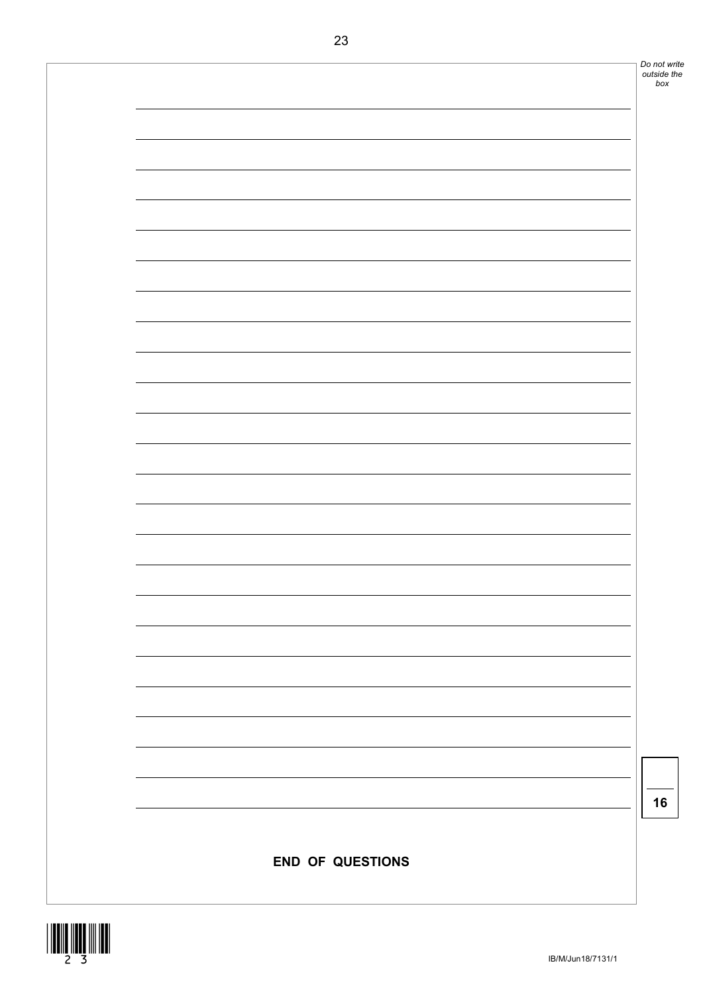